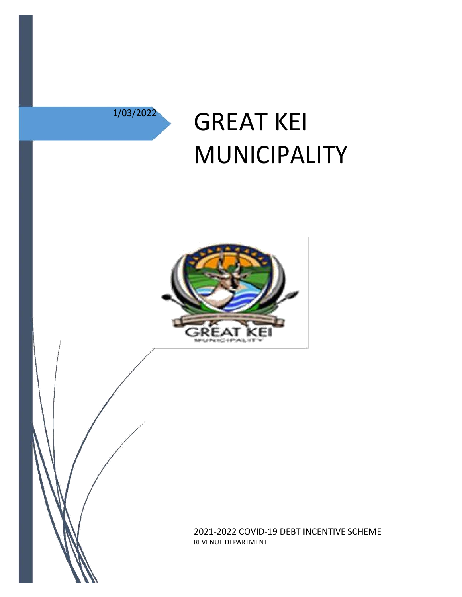

# 1/03/2022 **GREAT KEI** MUNICIPALITY



2021-2022 COVID-19 DEBT INCENTIVE SCHEME REVENUE DEPARTMENT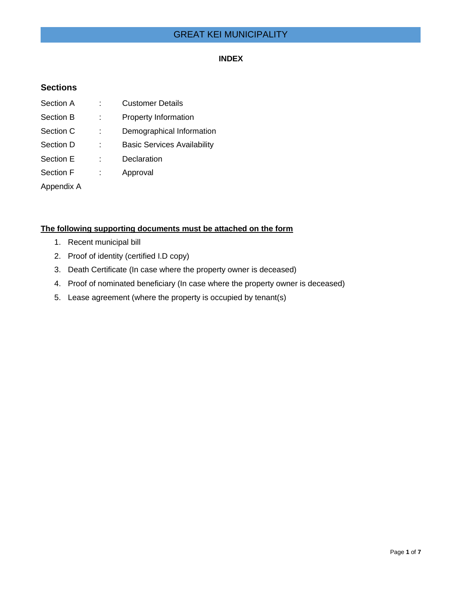## GREAT KEI MUNICIPALITY

#### **INDEX**

## **Sections**

| Section A        | <b>Customer Details</b>            |
|------------------|------------------------------------|
| Section B        | <b>Property Information</b>        |
| Section C        | Demographical Information          |
| Section D        | <b>Basic Services Availability</b> |
| Section E        | Declaration                        |
| <b>Section F</b> | Approval                           |
| Appendix A       |                                    |

## **The following supporting documents must be attached on the form**

- 1. Recent municipal bill
- 2. Proof of identity (certified I.D copy)
- 3. Death Certificate (In case where the property owner is deceased)
- 4. Proof of nominated beneficiary (In case where the property owner is deceased)
- 5. Lease agreement (where the property is occupied by tenant(s)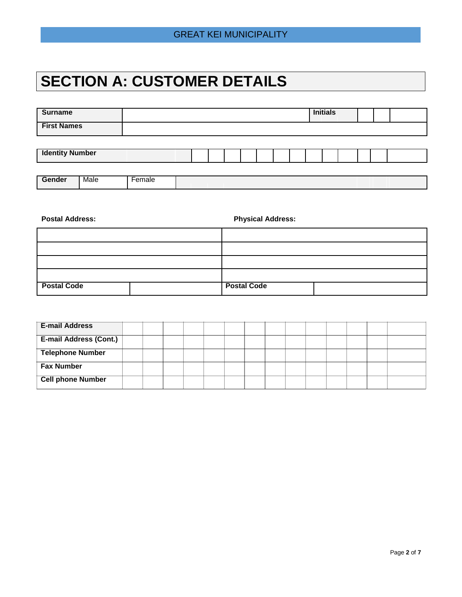# **SECTION A: CUSTOMER DETAILS**

| <b>Surname</b>         |      |        |  |  |  |  | <b>Initials</b> |  |  |
|------------------------|------|--------|--|--|--|--|-----------------|--|--|
| <b>First Names</b>     |      |        |  |  |  |  |                 |  |  |
|                        |      |        |  |  |  |  |                 |  |  |
| <b>Identity Number</b> |      |        |  |  |  |  |                 |  |  |
|                        |      |        |  |  |  |  |                 |  |  |
| Gender                 | Male | Female |  |  |  |  |                 |  |  |

| <b>Postal Address:</b> | <b>Physical Address:</b> |
|------------------------|--------------------------|
|                        |                          |
|                        |                          |
|                        |                          |
|                        |                          |
| <b>Postal Code</b>     | <b>Postal Code</b>       |

| <b>E-mail Address</b>         |  |  |  |  |  |  |  |
|-------------------------------|--|--|--|--|--|--|--|
| <b>E-mail Address (Cont.)</b> |  |  |  |  |  |  |  |
| <b>Telephone Number</b>       |  |  |  |  |  |  |  |
| <b>Fax Number</b>             |  |  |  |  |  |  |  |
| <b>Cell phone Number</b>      |  |  |  |  |  |  |  |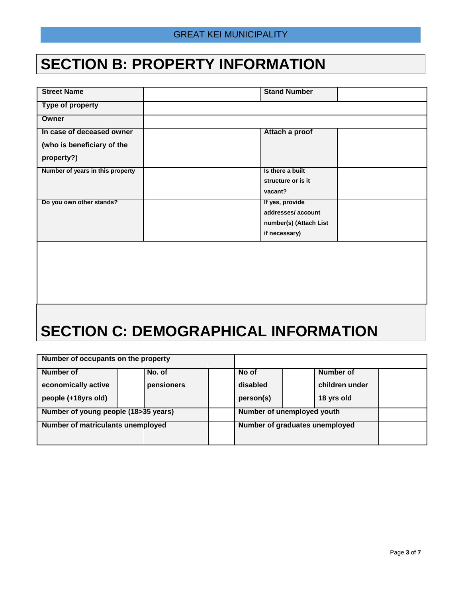# **SECTION B: PROPERTY INFORMATION**

| <b>Stand Number</b>    |
|------------------------|
|                        |
|                        |
| Attach a proof         |
|                        |
|                        |
| Is there a built       |
| structure or is it     |
| vacant?                |
| If yes, provide        |
| addresses/account      |
| number(s) (Attach List |
| if necessary)          |
|                        |
|                        |
|                        |
|                        |
|                        |
|                        |
|                        |

# **SECTION C: DEMOGRAPHICAL INFORMATION**

| Number of occupants on the property  |            |           |                            |                                |  |
|--------------------------------------|------------|-----------|----------------------------|--------------------------------|--|
| Number of                            | No. of     | No of     |                            | Number of                      |  |
| economically active                  | pensioners | disabled  |                            | children under                 |  |
| people (+18yrs old)                  |            | person(s) |                            | 18 yrs old                     |  |
| Number of young people (18>35 years) |            |           | Number of unemployed youth |                                |  |
| Number of matriculants unemployed    |            |           |                            | Number of graduates unemployed |  |
|                                      |            |           |                            |                                |  |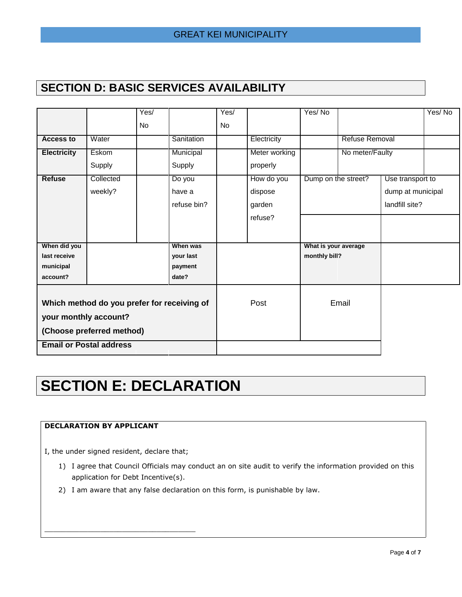## **SECTION D: BASIC SERVICES AVAILABILITY**

|                                |                                             | Yes/ |             | Yes/ |               | Yes/No               |                 |                   | Yes/No |
|--------------------------------|---------------------------------------------|------|-------------|------|---------------|----------------------|-----------------|-------------------|--------|
|                                |                                             | No   |             | No   |               |                      |                 |                   |        |
| <b>Access to</b>               | Water                                       |      | Sanitation  |      | Electricity   |                      | Refuse Removal  |                   |        |
| <b>Electricity</b>             | Eskom                                       |      | Municipal   |      | Meter working |                      | No meter/Faulty |                   |        |
|                                | Supply                                      |      | Supply      |      | properly      |                      |                 |                   |        |
| <b>Refuse</b>                  | Collected                                   |      | Do you      |      | How do you    | Dump on the street?  |                 | Use transport to  |        |
|                                | weekly?                                     |      | have a      |      | dispose       |                      |                 | dump at municipal |        |
|                                |                                             |      | refuse bin? |      | garden        |                      |                 | landfill site?    |        |
|                                |                                             |      |             |      | refuse?       |                      |                 |                   |        |
|                                |                                             |      |             |      |               |                      |                 |                   |        |
| When did you                   |                                             |      | When was    |      |               | What is your average |                 |                   |        |
| last receive                   |                                             |      | vour last   |      |               | monthly bill?        |                 |                   |        |
| municipal                      |                                             |      | payment     |      |               |                      |                 |                   |        |
| account?                       |                                             |      | date?       |      |               |                      |                 |                   |        |
|                                |                                             |      |             |      |               |                      |                 |                   |        |
|                                | Which method do you prefer for receiving of |      |             |      | Post          |                      | Email           |                   |        |
| your monthly account?          |                                             |      |             |      |               |                      |                 |                   |        |
| (Choose preferred method)      |                                             |      |             |      |               |                      |                 |                   |        |
| <b>Email or Postal address</b> |                                             |      |             |      |               |                      |                 |                   |        |

# **SECTION E: DECLARATION**

## **DECLARATION BY APPLICANT**

I, the under signed resident, declare that;

\_\_\_\_\_\_\_\_\_\_\_\_\_\_\_\_\_\_\_\_\_\_\_\_\_\_\_\_\_\_\_\_\_\_\_

- 1) I agree that Council Officials may conduct an on site audit to verify the information provided on this application for Debt Incentive(s).
- 2) I am aware that any false declaration on this form, is punishable by law.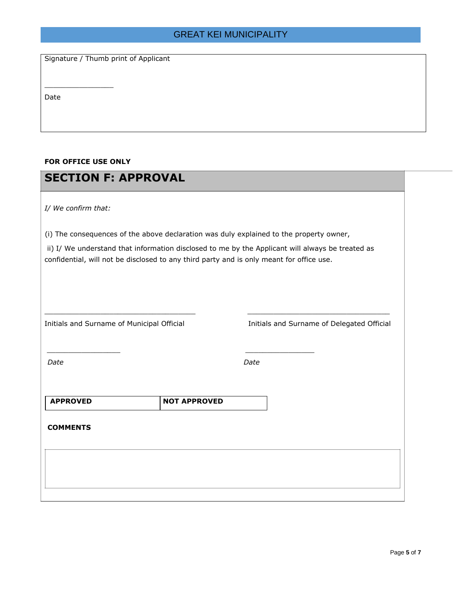## GREAT KEI MUNICIPALITY

Signature / Thumb print of Applicant

Date

#### **FOR OFFICE USE ONLY**

\_\_\_\_\_\_\_\_\_\_\_\_\_\_\_\_

| <b>SECTION F: APPROVAL</b>                                                              |                                                                                                                                                                                              |                                            |  |  |  |  |  |  |
|-----------------------------------------------------------------------------------------|----------------------------------------------------------------------------------------------------------------------------------------------------------------------------------------------|--------------------------------------------|--|--|--|--|--|--|
| I/ We confirm that:                                                                     |                                                                                                                                                                                              |                                            |  |  |  |  |  |  |
| (i) The consequences of the above declaration was duly explained to the property owner, |                                                                                                                                                                                              |                                            |  |  |  |  |  |  |
|                                                                                         | ii) I/ We understand that information disclosed to me by the Applicant will always be treated as<br>confidential, will not be disclosed to any third party and is only meant for office use. |                                            |  |  |  |  |  |  |
|                                                                                         |                                                                                                                                                                                              |                                            |  |  |  |  |  |  |
|                                                                                         |                                                                                                                                                                                              |                                            |  |  |  |  |  |  |
|                                                                                         |                                                                                                                                                                                              |                                            |  |  |  |  |  |  |
| Initials and Surname of Municipal Official                                              |                                                                                                                                                                                              | Initials and Surname of Delegated Official |  |  |  |  |  |  |
|                                                                                         |                                                                                                                                                                                              |                                            |  |  |  |  |  |  |
| Date                                                                                    |                                                                                                                                                                                              | Date                                       |  |  |  |  |  |  |
|                                                                                         |                                                                                                                                                                                              |                                            |  |  |  |  |  |  |
| <b>APPROVED</b>                                                                         | <b>NOT APPROVED</b>                                                                                                                                                                          |                                            |  |  |  |  |  |  |
| <b>COMMENTS</b>                                                                         |                                                                                                                                                                                              |                                            |  |  |  |  |  |  |
|                                                                                         |                                                                                                                                                                                              |                                            |  |  |  |  |  |  |
|                                                                                         |                                                                                                                                                                                              |                                            |  |  |  |  |  |  |
|                                                                                         |                                                                                                                                                                                              |                                            |  |  |  |  |  |  |